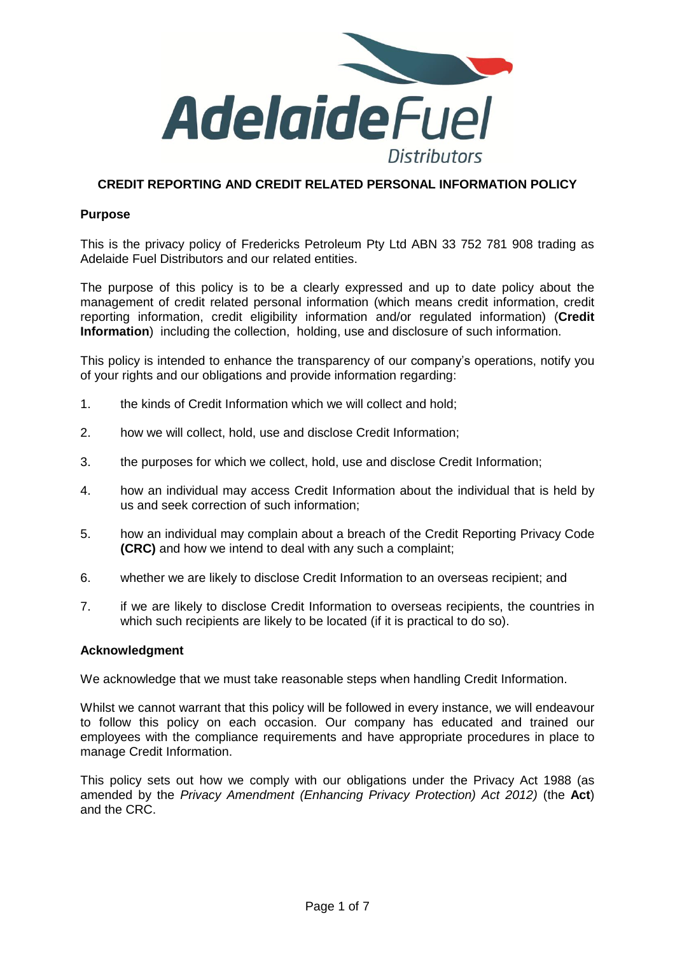

# **CREDIT REPORTING AND CREDIT RELATED PERSONAL INFORMATION POLICY**

## **Purpose**

This is the privacy policy of Fredericks Petroleum Pty Ltd ABN 33 752 781 908 trading as Adelaide Fuel Distributors and our related entities.

The purpose of this policy is to be a clearly expressed and up to date policy about the management of credit related personal information (which means credit information, credit reporting information, credit eligibility information and/or regulated information) (**Credit Information**) including the collection, holding, use and disclosure of such information.

This policy is intended to enhance the transparency of our company's operations, notify you of your rights and our obligations and provide information regarding:

- 1. the kinds of Credit Information which we will collect and hold;
- 2. how we will collect, hold, use and disclose Credit Information;
- 3. the purposes for which we collect, hold, use and disclose Credit Information;
- 4. how an individual may access Credit Information about the individual that is held by us and seek correction of such information;
- 5. how an individual may complain about a breach of the Credit Reporting Privacy Code **(CRC)** and how we intend to deal with any such a complaint;
- 6. whether we are likely to disclose Credit Information to an overseas recipient; and
- 7. if we are likely to disclose Credit Information to overseas recipients, the countries in which such recipients are likely to be located (if it is practical to do so).

### **Acknowledgment**

We acknowledge that we must take reasonable steps when handling Credit Information.

Whilst we cannot warrant that this policy will be followed in every instance, we will endeavour to follow this policy on each occasion. Our company has educated and trained our employees with the compliance requirements and have appropriate procedures in place to manage Credit Information.

This policy sets out how we comply with our obligations under the Privacy Act 1988 (as amended by the *Privacy Amendment (Enhancing Privacy Protection) Act 2012)* (the **Act**) and the CRC.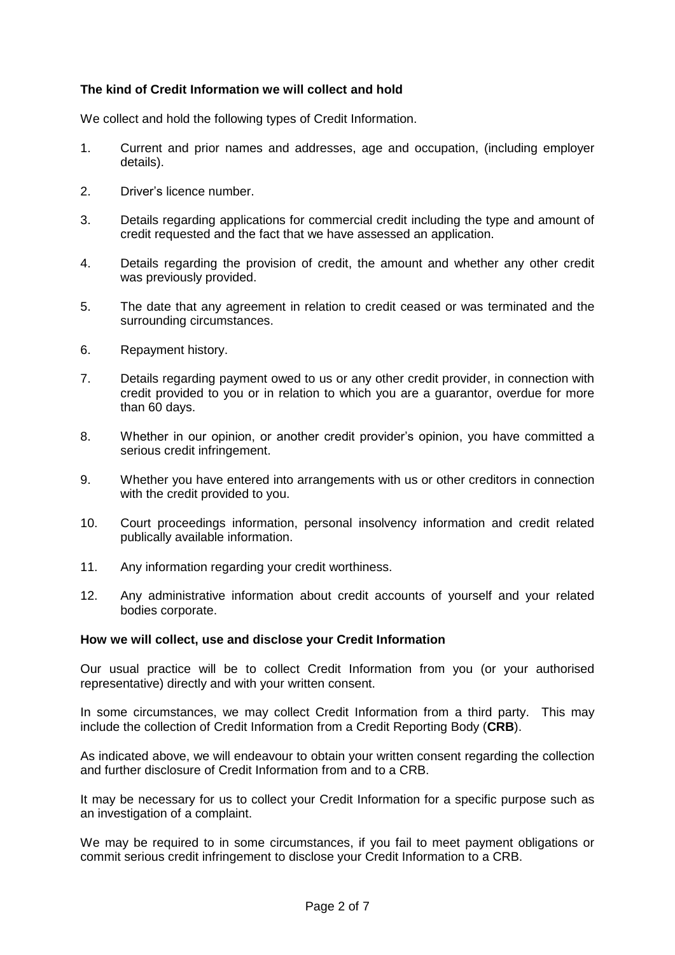# **The kind of Credit Information we will collect and hold**

We collect and hold the following types of Credit Information.

- 1. Current and prior names and addresses, age and occupation, (including employer details).
- 2. Driver's licence number.
- 3. Details regarding applications for commercial credit including the type and amount of credit requested and the fact that we have assessed an application.
- 4. Details regarding the provision of credit, the amount and whether any other credit was previously provided.
- 5. The date that any agreement in relation to credit ceased or was terminated and the surrounding circumstances.
- 6. Repayment history.
- 7. Details regarding payment owed to us or any other credit provider, in connection with credit provided to you or in relation to which you are a guarantor, overdue for more than 60 days.
- 8. Whether in our opinion, or another credit provider's opinion, you have committed a serious credit infringement.
- 9. Whether you have entered into arrangements with us or other creditors in connection with the credit provided to you.
- 10. Court proceedings information, personal insolvency information and credit related publically available information.
- 11. Any information regarding your credit worthiness.
- 12. Any administrative information about credit accounts of yourself and your related bodies corporate.

# **How we will collect, use and disclose your Credit Information**

Our usual practice will be to collect Credit Information from you (or your authorised representative) directly and with your written consent.

In some circumstances, we may collect Credit Information from a third party. This may include the collection of Credit Information from a Credit Reporting Body (**CRB**).

As indicated above, we will endeavour to obtain your written consent regarding the collection and further disclosure of Credit Information from and to a CRB.

It may be necessary for us to collect your Credit Information for a specific purpose such as an investigation of a complaint.

We may be required to in some circumstances, if you fail to meet payment obligations or commit serious credit infringement to disclose your Credit Information to a CRB.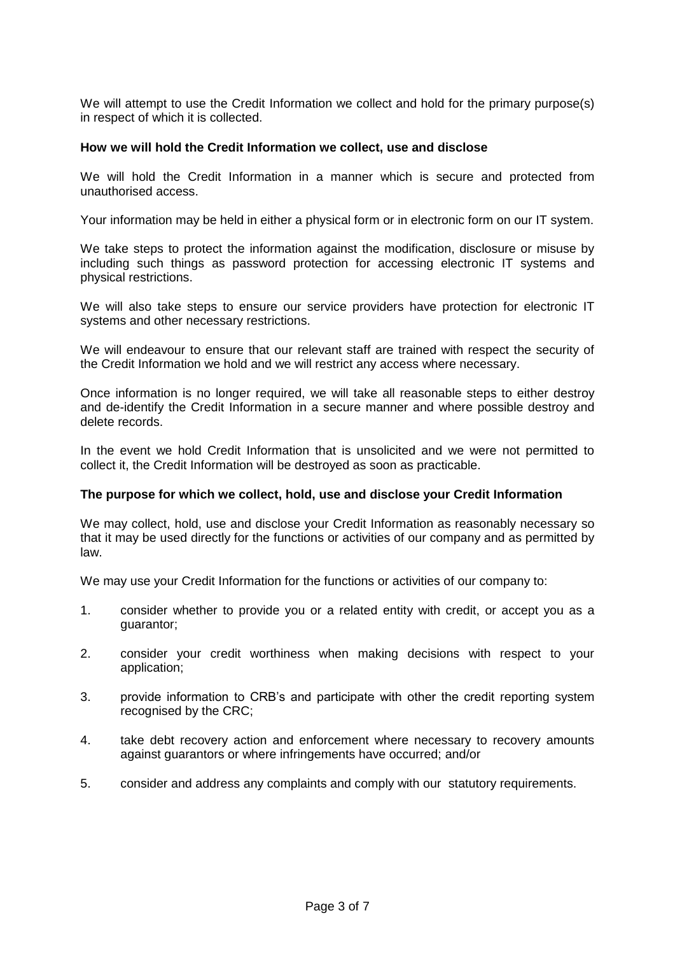We will attempt to use the Credit Information we collect and hold for the primary purpose(s) in respect of which it is collected.

## **How we will hold the Credit Information we collect, use and disclose**

We will hold the Credit Information in a manner which is secure and protected from unauthorised access.

Your information may be held in either a physical form or in electronic form on our IT system.

We take steps to protect the information against the modification, disclosure or misuse by including such things as password protection for accessing electronic IT systems and physical restrictions.

We will also take steps to ensure our service providers have protection for electronic IT systems and other necessary restrictions.

We will endeavour to ensure that our relevant staff are trained with respect the security of the Credit Information we hold and we will restrict any access where necessary.

Once information is no longer required, we will take all reasonable steps to either destroy and de-identify the Credit Information in a secure manner and where possible destroy and delete records.

In the event we hold Credit Information that is unsolicited and we were not permitted to collect it, the Credit Information will be destroyed as soon as practicable.

### **The purpose for which we collect, hold, use and disclose your Credit Information**

We may collect, hold, use and disclose your Credit Information as reasonably necessary so that it may be used directly for the functions or activities of our company and as permitted by law.

We may use your Credit Information for the functions or activities of our company to:

- 1. consider whether to provide you or a related entity with credit, or accept you as a guarantor;
- 2. consider your credit worthiness when making decisions with respect to your application;
- 3. provide information to CRB's and participate with other the credit reporting system recognised by the CRC;
- 4. take debt recovery action and enforcement where necessary to recovery amounts against guarantors or where infringements have occurred; and/or
- 5. consider and address any complaints and comply with our statutory requirements.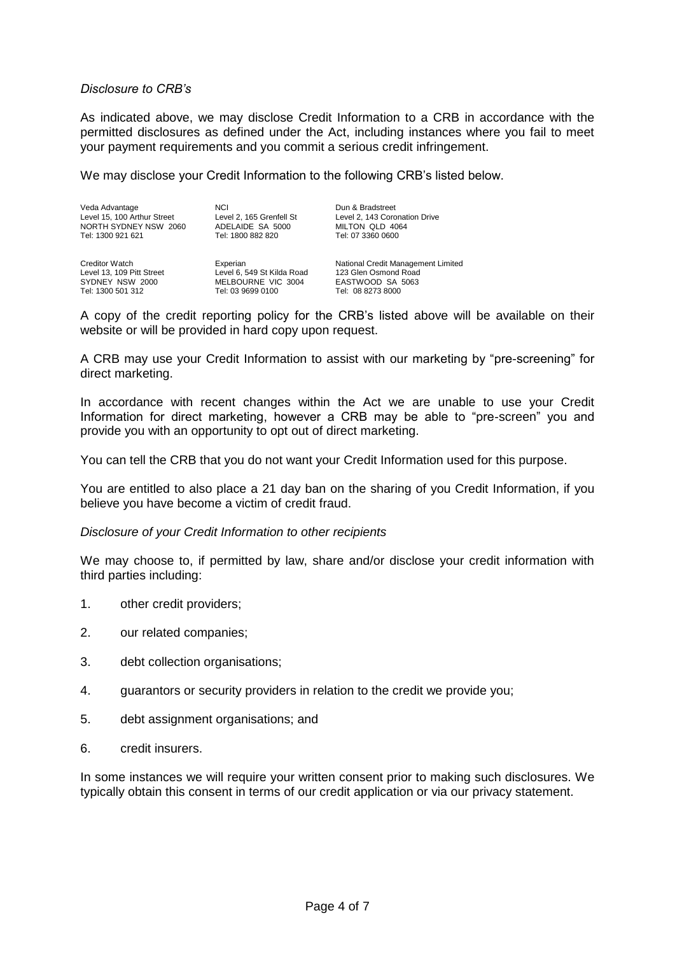## *Disclosure to CRB's*

As indicated above, we may disclose Credit Information to a CRB in accordance with the permitted disclosures as defined under the Act, including instances where you fail to meet your payment requirements and you commit a serious credit infringement.

We may disclose your Credit Information to the following CRB's listed below.

Veda Advantage Level 15, 100 Arthur Street NORTH SYDNEY NSW 2060 Tel: 1300 921 621

**NCI** Level 2, 165 Grenfell St ADELAIDE SA 5000 Tel: 1800 882 820

Creditor Watch Level 13, 109 Pitt Street SYDNEY NSW 2000 Tel: 1300 501 312

Experian Level 6, 549 St Kilda Road MELBOURNE VIC 3004 Tel: 03 9699 0100

MILTON QLD 4064 Tel: 07 3360 0600

Level 2, 143 Coronation Drive

Dun & Bradstreet

National Credit Management Limited 123 Glen Osmond Road EASTWOOD SA 5063 Tel: 08 8273 8000

A copy of the credit reporting policy for the CRB's listed above will be available on their website or will be provided in hard copy upon request.

A CRB may use your Credit Information to assist with our marketing by "pre-screening" for direct marketing.

In accordance with recent changes within the Act we are unable to use your Credit Information for direct marketing, however a CRB may be able to "pre-screen" you and provide you with an opportunity to opt out of direct marketing.

You can tell the CRB that you do not want your Credit Information used for this purpose.

You are entitled to also place a 21 day ban on the sharing of you Credit Information, if you believe you have become a victim of credit fraud.

### *Disclosure of your Credit Information to other recipients*

We may choose to, if permitted by law, share and/or disclose your credit information with third parties including:

- 1. other credit providers;
- 2. our related companies;
- 3. debt collection organisations;
- 4. guarantors or security providers in relation to the credit we provide you;
- 5. debt assignment organisations; and
- 6. credit insurers.

In some instances we will require your written consent prior to making such disclosures. We typically obtain this consent in terms of our credit application or via our privacy statement.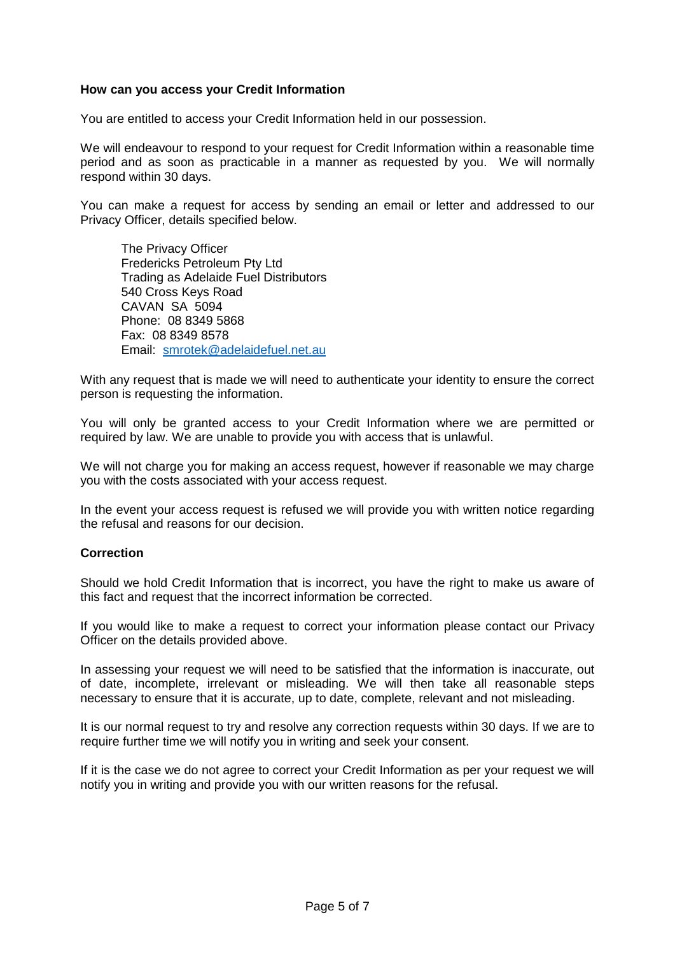## **How can you access your Credit Information**

You are entitled to access your Credit Information held in our possession.

We will endeavour to respond to your request for Credit Information within a reasonable time period and as soon as practicable in a manner as requested by you. We will normally respond within 30 days.

You can make a request for access by sending an email or letter and addressed to our Privacy Officer, details specified below.

The Privacy Officer Fredericks Petroleum Pty Ltd Trading as Adelaide Fuel Distributors 540 Cross Keys Road CAVAN SA 5094 Phone: 08 8349 5868 Fax: 08 8349 8578 Email: [smrotek@adelaidefuel.net.au](mailto:smrotek@adelaidefuel.net.au)

With any request that is made we will need to authenticate your identity to ensure the correct person is requesting the information.

You will only be granted access to your Credit Information where we are permitted or required by law. We are unable to provide you with access that is unlawful.

We will not charge you for making an access request, however if reasonable we may charge you with the costs associated with your access request.

In the event your access request is refused we will provide you with written notice regarding the refusal and reasons for our decision.

## **Correction**

Should we hold Credit Information that is incorrect, you have the right to make us aware of this fact and request that the incorrect information be corrected.

If you would like to make a request to correct your information please contact our Privacy Officer on the details provided above.

In assessing your request we will need to be satisfied that the information is inaccurate, out of date, incomplete, irrelevant or misleading. We will then take all reasonable steps necessary to ensure that it is accurate, up to date, complete, relevant and not misleading.

It is our normal request to try and resolve any correction requests within 30 days. If we are to require further time we will notify you in writing and seek your consent.

If it is the case we do not agree to correct your Credit Information as per your request we will notify you in writing and provide you with our written reasons for the refusal.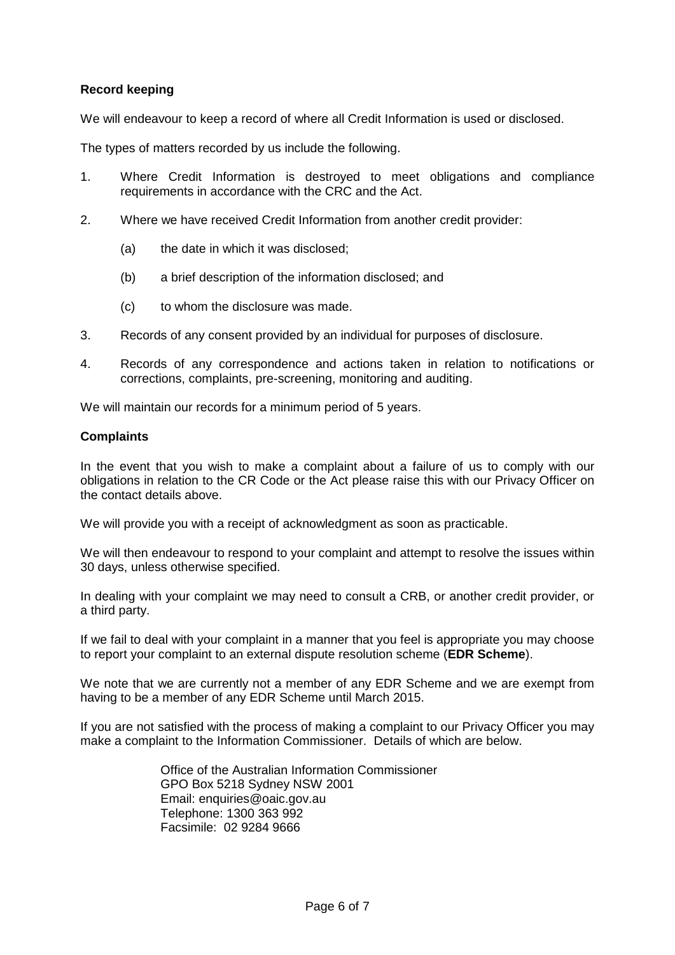# **Record keeping**

We will endeavour to keep a record of where all Credit Information is used or disclosed.

The types of matters recorded by us include the following.

- 1. Where Credit Information is destroyed to meet obligations and compliance requirements in accordance with the CRC and the Act.
- 2. Where we have received Credit Information from another credit provider:
	- (a) the date in which it was disclosed;
	- (b) a brief description of the information disclosed; and
	- (c) to whom the disclosure was made.
- 3. Records of any consent provided by an individual for purposes of disclosure.
- 4. Records of any correspondence and actions taken in relation to notifications or corrections, complaints, pre-screening, monitoring and auditing.

We will maintain our records for a minimum period of 5 years.

## **Complaints**

In the event that you wish to make a complaint about a failure of us to comply with our obligations in relation to the CR Code or the Act please raise this with our Privacy Officer on the contact details above.

We will provide you with a receipt of acknowledgment as soon as practicable.

We will then endeavour to respond to your complaint and attempt to resolve the issues within 30 days, unless otherwise specified.

In dealing with your complaint we may need to consult a CRB, or another credit provider, or a third party.

If we fail to deal with your complaint in a manner that you feel is appropriate you may choose to report your complaint to an external dispute resolution scheme (**EDR Scheme**).

We note that we are currently not a member of any EDR Scheme and we are exempt from having to be a member of any EDR Scheme until March 2015.

If you are not satisfied with the process of making a complaint to our Privacy Officer you may make a complaint to the Information Commissioner. Details of which are below.

> Office of the Australian Information Commissioner GPO Box 5218 Sydney NSW 2001 Email: [enquiries@oaic.gov.au](mailto:enquiries@oaic.gov.au) Telephone: 1300 363 992 Facsimile: 02 9284 9666